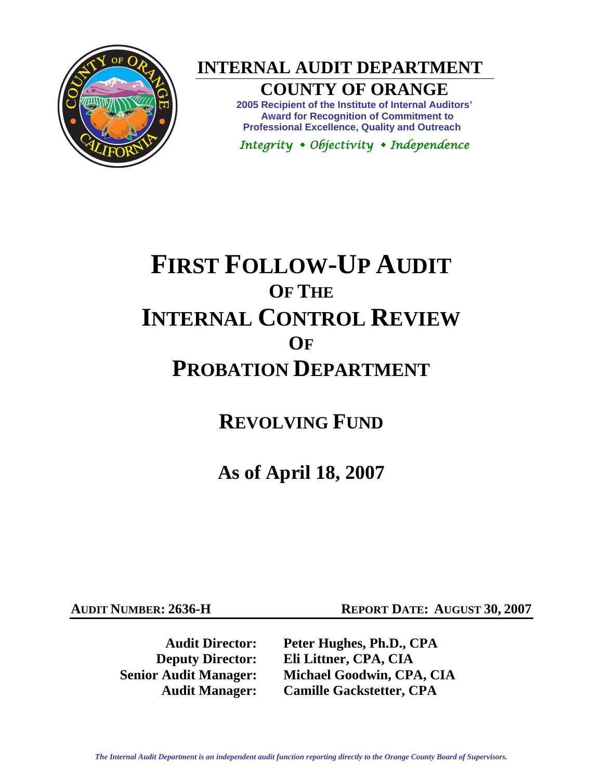

**INTERNAL AUDIT DEPARTMENT** 

## **COUNTY OF ORANGE**

**2005 Recipient of the Institute of Internal Auditors' Award for Recognition of Commitment to Professional Excellence, Quality and Outreach** 

*Integrity Objectivity Independence* 

# **FIRST FOLLOW-UP AUDIT OF THE INTERNAL CONTROL REVIEW OF PROBATION DEPARTMENT**

**REVOLVING FUND**

**As of April 18, 2007** 

**AUDIT NUMBER: 2636-H REPORT DATE: AUGUST 30, 2007** 

**Audit Director: Peter Hughes, Ph.D., CPA Deputy Director: Eli Littner, CPA, CIA Senior Audit Manager: Michael Goodwin, CPA, CIA Audit Manager: Camille Gackstetter, CPA**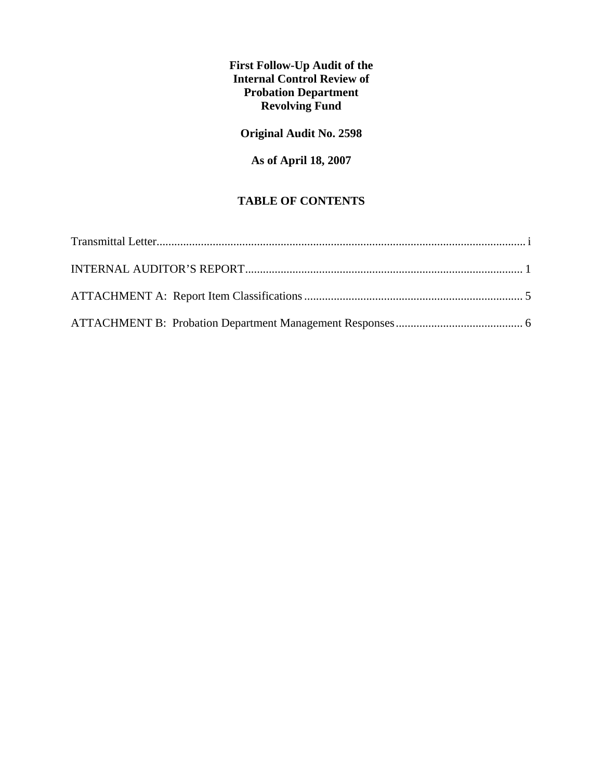**First Follow-Up Audit of the Internal Control Review of Probation Department Revolving Fund** 

### **Original Audit No. 2598**

### **As of April 18, 2007**

#### **TABLE OF CONTENTS**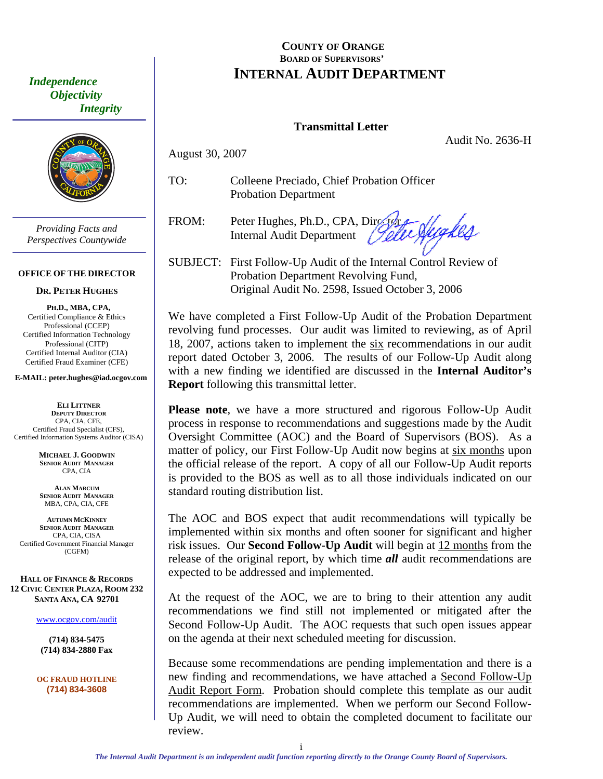<span id="page-2-0"></span> *Independence Objectivity Integrity* 



*Providing Facts and Perspectives Countywide* 

#### **OFFICE OF THE DIRECTOR**

#### **DR. PETER HUGHES**

**PH.D., MBA, CPA,**  Certified Compliance & Ethics Professional (CCEP) Certified Information Technology Professional (CITP) Certified Internal Auditor (CIA) Certified Fraud Examiner (CFE)

**E-MAIL: peter.hughes@iad.ocgov.com** 

**ELI LITTNER DEPUTY DIRECTOR** CPA, CIA, CFE, Certified Fraud Specialist (CFS), Certified Information Systems Auditor (CISA)

> **MICHAEL J. GOODWIN SENIOR AUDIT MANAGER** CPA, CIA

**ALAN MARCUM SENIOR AUDIT MANAGER** MBA, CPA, CIA, CFE

**AUTUMN MCKINNEY SENIOR AUDIT MANAGER** CPA, CIA, CISA Certified Government Financial Manager (CGFM)

**HALL OF FINANCE & RECORDS 12 CIVIC CENTER PLAZA, ROOM 232 SANTA ANA, CA 92701** 

www.ocgov.com/audit

**(714) 834-5475 (714) 834-2880 Fax** 

**OC FRAUD HOTLINE (714) 834-3608** 

### **COUNTY OF ORANGE BOARD OF SUPERVISORS' INTERNAL AUDIT DEPARTMENT**

#### **Transmittal Letter**

Audit No. 2636-H

TO: Colleene Preciado, Chief Probation Officer Probation Department

August 30, 2007

FROM: Peter Hughes, Ph.D., CPA, Director highes Internal Audit Department

SUBJECT: First Follow-Up Audit of the Internal Control Review of Probation Department Revolving Fund, Original Audit No. 2598, Issued October 3, 2006

We have completed a First Follow-Up Audit of the Probation Department revolving fund processes. Our audit was limited to reviewing, as of April 18, 2007, actions taken to implement the six recommendations in our audit report dated October 3, 2006. The results of our Follow-Up Audit along with a new finding we identified are discussed in the **Internal Auditor's Report** following this transmittal letter.

**Please note**, we have a more structured and rigorous Follow-Up Audit process in response to recommendations and suggestions made by the Audit Oversight Committee (AOC) and the Board of Supervisors (BOS). As a matter of policy, our First Follow-Up Audit now begins at six months upon the official release of the report. A copy of all our Follow-Up Audit reports is provided to the BOS as well as to all those individuals indicated on our standard routing distribution list.

The AOC and BOS expect that audit recommendations will typically be implemented within six months and often sooner for significant and higher risk issues. Our **Second Follow-Up Audit** will begin at 12 months from the release of the original report, by which time *all* audit recommendations are expected to be addressed and implemented.

At the request of the AOC, we are to bring to their attention any audit recommendations we find still not implemented or mitigated after the Second Follow-Up Audit. The AOC requests that such open issues appear on the agenda at their next scheduled meeting for discussion.

Because some recommendations are pending implementation and there is a new finding and recommendations, we have attached a Second Follow-Up Audit Report Form. Probation should complete this template as our audit recommendations are implemented. When we perform our Second Follow-Up Audit, we will need to obtain the completed document to facilitate our review.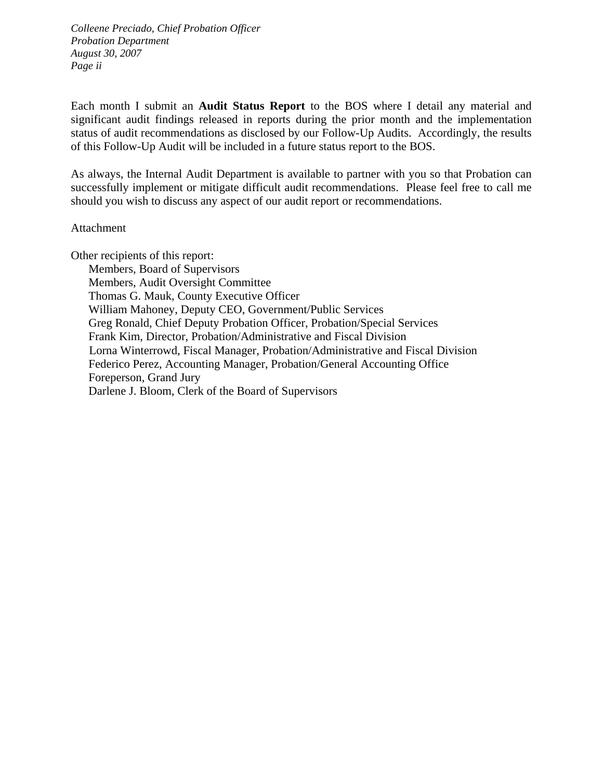*Colleene Preciado, Chief Probation Officer Probation Department August 30, 2007 Page ii* 

Each month I submit an **Audit Status Report** to the BOS where I detail any material and significant audit findings released in reports during the prior month and the implementation status of audit recommendations as disclosed by our Follow-Up Audits. Accordingly, the results of this Follow-Up Audit will be included in a future status report to the BOS.

As always, the Internal Audit Department is available to partner with you so that Probation can successfully implement or mitigate difficult audit recommendations. Please feel free to call me should you wish to discuss any aspect of our audit report or recommendations.

#### Attachment

Other recipients of this report:

 Members, Board of Supervisors Members, Audit Oversight Committee Thomas G. Mauk, County Executive Officer William Mahoney, Deputy CEO, Government/Public Services Greg Ronald, Chief Deputy Probation Officer, Probation/Special Services Frank Kim, Director, Probation/Administrative and Fiscal Division Lorna Winterrowd, Fiscal Manager, Probation/Administrative and Fiscal Division Federico Perez, Accounting Manager, Probation/General Accounting Office Foreperson, Grand Jury Darlene J. Bloom, Clerk of the Board of Supervisors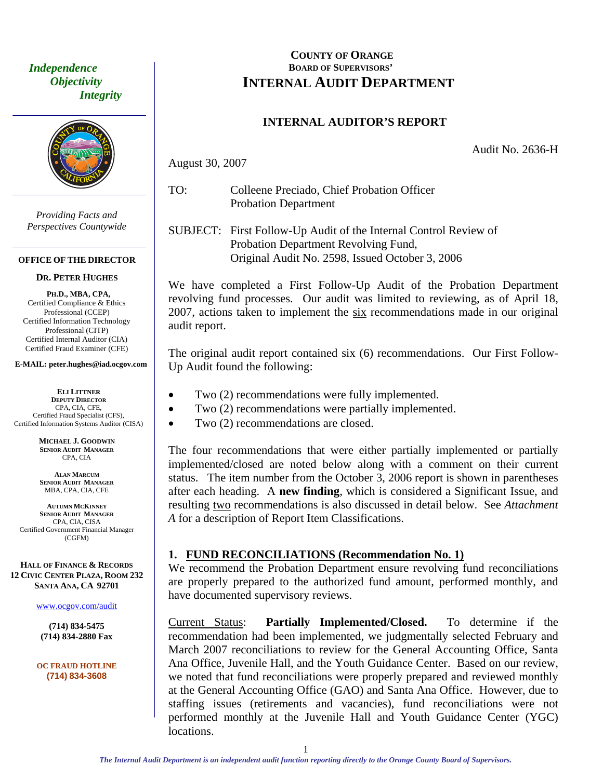<span id="page-4-0"></span> *Independence Objectivity Integrity* 



*Providing Facts and Perspectives Countywide* 

#### **OFFICE OF THE DIRECTOR**

#### **DR. PETER HUGHES**

**PH.D., MBA, CPA,**  Certified Compliance & Ethics Professional (CCEP) Certified Information Technology Professional (CITP) Certified Internal Auditor (CIA) Certified Fraud Examiner (CFE)

#### **E-MAIL: peter.hughes@iad.ocgov.com**

**ELI LITTNER DEPUTY DIRECTOR** CPA, CIA, CFE, Certified Fraud Specialist (CFS), Certified Information Systems Auditor (CISA)

> **MICHAEL J. GOODWIN SENIOR AUDIT MANAGER** CPA, CIA

**ALAN MARCUM SENIOR AUDIT MANAGER** MBA, CPA, CIA, CFE

**AUTUMN MCKINNEY SENIOR AUDIT MANAGER** CPA, CIA, CISA Certified Government Financial Manager (CGFM)

**HALL OF FINANCE & RECORDS 12 CIVIC CENTER PLAZA, ROOM 232 SANTA ANA, CA 92701** 

#### www.ocgov.com/audit

**(714) 834-5475 (714) 834-2880 Fax** 

**OC FRAUD HOTLINE (714) 834-3608** 

### **COUNTY OF ORANGE BOARD OF SUPERVISORS' INTERNAL AUDIT DEPARTMENT**

#### **INTERNAL AUDITOR'S REPORT**

Audit No. 2636-H

August 30, 2007

- TO: Colleene Preciado, Chief Probation Officer Probation Department
- SUBJECT: First Follow-Up Audit of the Internal Control Review of Probation Department Revolving Fund, Original Audit No. 2598, Issued October 3, 2006

We have completed a First Follow-Up Audit of the Probation Department revolving fund processes. Our audit was limited to reviewing, as of April 18, 2007, actions taken to implement the six recommendations made in our original audit report.

The original audit report contained six (6) recommendations. Our First Follow-Up Audit found the following:

- Two  $(2)$  recommendations were fully implemented.
- Two (2) recommendations were partially implemented.
- Two (2) recommendations are closed.

The four recommendations that were either partially implemented or partially implemented/closed are noted below along with a comment on their current status. The item number from the October 3, 2006 report is shown in parentheses after each heading. A **new finding**, which is considered a Significant Issue, and resulting two recommendations is also discussed in detail below. See *Attachment A* for a description of Report Item Classifications.

#### **1. FUND RECONCILIATIONS (Recommendation No. 1)**

We recommend the Probation Department ensure revolving fund reconciliations are properly prepared to the authorized fund amount, performed monthly, and have documented supervisory reviews.

Current Status: **Partially Implemented/Closed.** To determine if the recommendation had been implemented, we judgmentally selected February and March 2007 reconciliations to review for the General Accounting Office, Santa Ana Office, Juvenile Hall, and the Youth Guidance Center. Based on our review, we noted that fund reconciliations were properly prepared and reviewed monthly at the General Accounting Office (GAO) and Santa Ana Office. However, due to staffing issues (retirements and vacancies), fund reconciliations were not performed monthly at the Juvenile Hall and Youth Guidance Center (YGC) locations.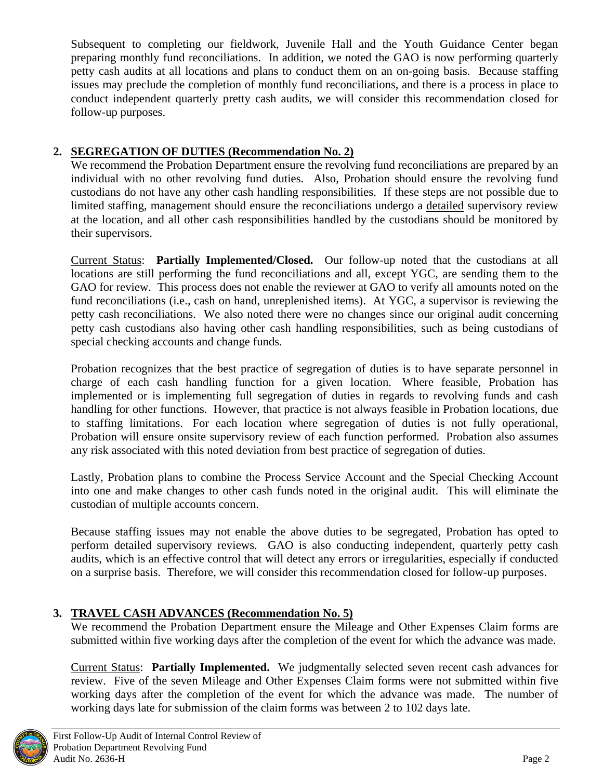Subsequent to completing our fieldwork, Juvenile Hall and the Youth Guidance Center began preparing monthly fund reconciliations. In addition, we noted the GAO is now performing quarterly petty cash audits at all locations and plans to conduct them on an on-going basis. Because staffing issues may preclude the completion of monthly fund reconciliations, and there is a process in place to conduct independent quarterly pretty cash audits, we will consider this recommendation closed for follow-up purposes.

### **2. SEGREGATION OF DUTIES (Recommendation No. 2)**

We recommend the Probation Department ensure the revolving fund reconciliations are prepared by an individual with no other revolving fund duties. Also, Probation should ensure the revolving fund custodians do not have any other cash handling responsibilities. If these steps are not possible due to limited staffing, management should ensure the reconciliations undergo a detailed supervisory review at the location, and all other cash responsibilities handled by the custodians should be monitored by their supervisors.

Current Status: **Partially Implemented/Closed.** Our follow-up noted that the custodians at all locations are still performing the fund reconciliations and all, except YGC, are sending them to the GAO for review. This process does not enable the reviewer at GAO to verify all amounts noted on the fund reconciliations (i.e., cash on hand, unreplenished items). At YGC, a supervisor is reviewing the petty cash reconciliations. We also noted there were no changes since our original audit concerning petty cash custodians also having other cash handling responsibilities, such as being custodians of special checking accounts and change funds.

Probation recognizes that the best practice of segregation of duties is to have separate personnel in charge of each cash handling function for a given location. Where feasible, Probation has implemented or is implementing full segregation of duties in regards to revolving funds and cash handling for other functions. However, that practice is not always feasible in Probation locations, due to staffing limitations. For each location where segregation of duties is not fully operational, Probation will ensure onsite supervisory review of each function performed. Probation also assumes any risk associated with this noted deviation from best practice of segregation of duties.

Lastly, Probation plans to combine the Process Service Account and the Special Checking Account into one and make changes to other cash funds noted in the original audit. This will eliminate the custodian of multiple accounts concern.

Because staffing issues may not enable the above duties to be segregated, Probation has opted to perform detailed supervisory reviews. GAO is also conducting independent, quarterly petty cash audits, which is an effective control that will detect any errors or irregularities, especially if conducted on a surprise basis. Therefore, we will consider this recommendation closed for follow-up purposes.

### **3. TRAVEL CASH ADVANCES (Recommendation No. 5)**

We recommend the Probation Department ensure the Mileage and Other Expenses Claim forms are submitted within five working days after the completion of the event for which the advance was made.

Current Status: **Partially Implemented.** We judgmentally selected seven recent cash advances for review. Five of the seven Mileage and Other Expenses Claim forms were not submitted within five working days after the completion of the event for which the advance was made. The number of working days late for submission of the claim forms was between 2 to 102 days late.

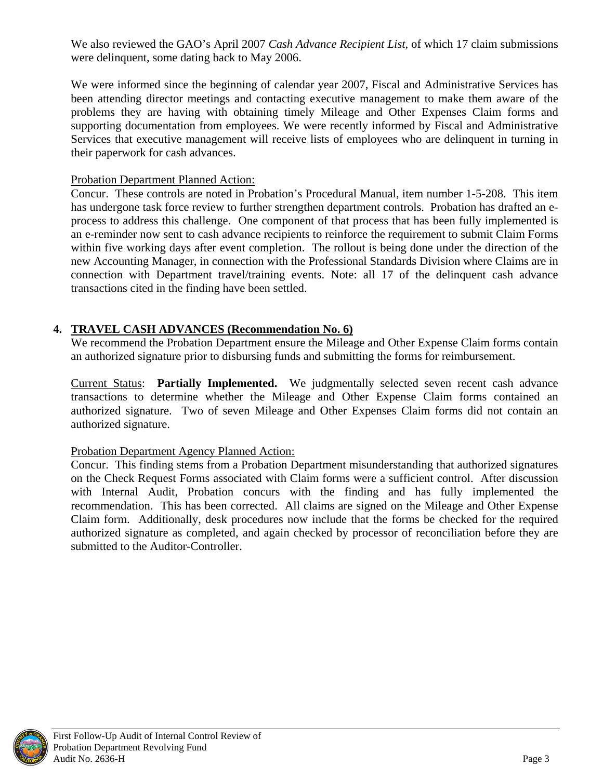We also reviewed the GAO's April 2007 *Cash Advance Recipient List*, of which 17 claim submissions were delinquent, some dating back to May 2006.

We were informed since the beginning of calendar year 2007, Fiscal and Administrative Services has been attending director meetings and contacting executive management to make them aware of the problems they are having with obtaining timely Mileage and Other Expenses Claim forms and supporting documentation from employees. We were recently informed by Fiscal and Administrative Services that executive management will receive lists of employees who are delinquent in turning in their paperwork for cash advances.

#### Probation Department Planned Action:

Concur. These controls are noted in Probation's Procedural Manual, item number 1-5-208. This item has undergone task force review to further strengthen department controls. Probation has drafted an eprocess to address this challenge. One component of that process that has been fully implemented is an e-reminder now sent to cash advance recipients to reinforce the requirement to submit Claim Forms within five working days after event completion. The rollout is being done under the direction of the new Accounting Manager, in connection with the Professional Standards Division where Claims are in connection with Department travel/training events. Note: all 17 of the delinquent cash advance transactions cited in the finding have been settled.

### **4. TRAVEL CASH ADVANCES (Recommendation No. 6)**

We recommend the Probation Department ensure the Mileage and Other Expense Claim forms contain an authorized signature prior to disbursing funds and submitting the forms for reimbursement.

Current Status: **Partially Implemented.** We judgmentally selected seven recent cash advance transactions to determine whether the Mileage and Other Expense Claim forms contained an authorized signature. Two of seven Mileage and Other Expenses Claim forms did not contain an authorized signature.

#### Probation Department Agency Planned Action:

Concur. This finding stems from a Probation Department misunderstanding that authorized signatures on the Check Request Forms associated with Claim forms were a sufficient control. After discussion with Internal Audit, Probation concurs with the finding and has fully implemented the recommendation. This has been corrected. All claims are signed on the Mileage and Other Expense Claim form. Additionally, desk procedures now include that the forms be checked for the required authorized signature as completed, and again checked by processor of reconciliation before they are submitted to the Auditor-Controller.

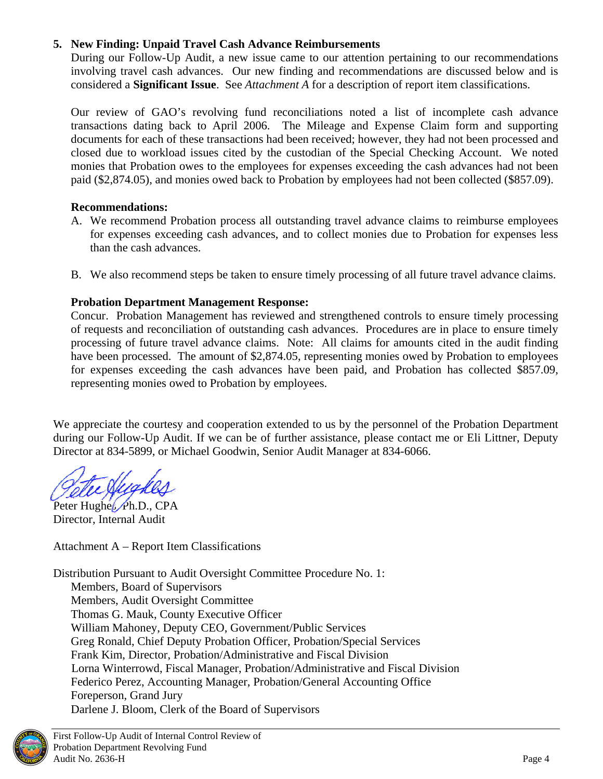### **5. New Finding: Unpaid Travel Cash Advance Reimbursements**

During our Follow-Up Audit, a new issue came to our attention pertaining to our recommendations involving travel cash advances. Our new finding and recommendations are discussed below and is considered a **Significant Issue**. See *Attachment A* for a description of report item classifications.

Our review of GAO's revolving fund reconciliations noted a list of incomplete cash advance transactions dating back to April 2006. The Mileage and Expense Claim form and supporting documents for each of these transactions had been received; however, they had not been processed and closed due to workload issues cited by the custodian of the Special Checking Account. We noted monies that Probation owes to the employees for expenses exceeding the cash advances had not been paid (\$2,874.05), and monies owed back to Probation by employees had not been collected (\$857.09).

#### **Recommendations:**

- A. We recommend Probation process all outstanding travel advance claims to reimburse employees for expenses exceeding cash advances, and to collect monies due to Probation for expenses less than the cash advances.
- B. We also recommend steps be taken to ensure timely processing of all future travel advance claims.

#### **Probation Department Management Response:**

Concur. Probation Management has reviewed and strengthened controls to ensure timely processing of requests and reconciliation of outstanding cash advances. Procedures are in place to ensure timely processing of future travel advance claims. Note: All claims for amounts cited in the audit finding have been processed. The amount of \$2,874.05, representing monies owed by Probation to employees for expenses exceeding the cash advances have been paid, and Probation has collected \$857.09, representing monies owed to Probation by employees.

We appreciate the courtesy and cooperation extended to us by the personnel of the Probation Department during our Follow-Up Audit. If we can be of further assistance, please contact me or Eli Littner, Deputy Director at 834-5899, or Michael Goodwin, Senior Audit Manager at 834-6066.

Peter Hughes, Ph.D., CPA Director, Internal Audit

Attachment A – Report Item Classifications

Distribution Pursuant to Audit Oversight Committee Procedure No. 1: Members, Board of Supervisors Members, Audit Oversight Committee Thomas G. Mauk, County Executive Officer William Mahoney, Deputy CEO, Government/Public Services Greg Ronald, Chief Deputy Probation Officer, Probation/Special Services Frank Kim, Director, Probation/Administrative and Fiscal Division Lorna Winterrowd, Fiscal Manager, Probation/Administrative and Fiscal Division Federico Perez, Accounting Manager, Probation/General Accounting Office Foreperson, Grand Jury Darlene J. Bloom, Clerk of the Board of Supervisors

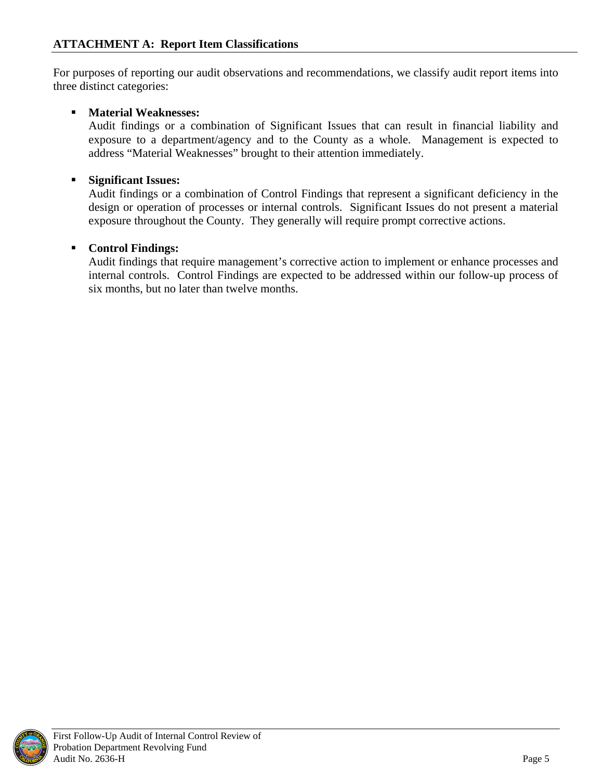<span id="page-8-0"></span>For purposes of reporting our audit observations and recommendations, we classify audit report items into three distinct categories:

### **Material Weaknesses:**

Audit findings or a combination of Significant Issues that can result in financial liability and exposure to a department/agency and to the County as a whole. Management is expected to address "Material Weaknesses" brought to their attention immediately.

### **Significant Issues:**

Audit findings or a combination of Control Findings that represent a significant deficiency in the design or operation of processes or internal controls. Significant Issues do not present a material exposure throughout the County. They generally will require prompt corrective actions.

#### **Control Findings:**

Audit findings that require management's corrective action to implement or enhance processes and internal controls.Control Findings are expected to be addressed within our follow-up process of six months, but no later than twelve months.

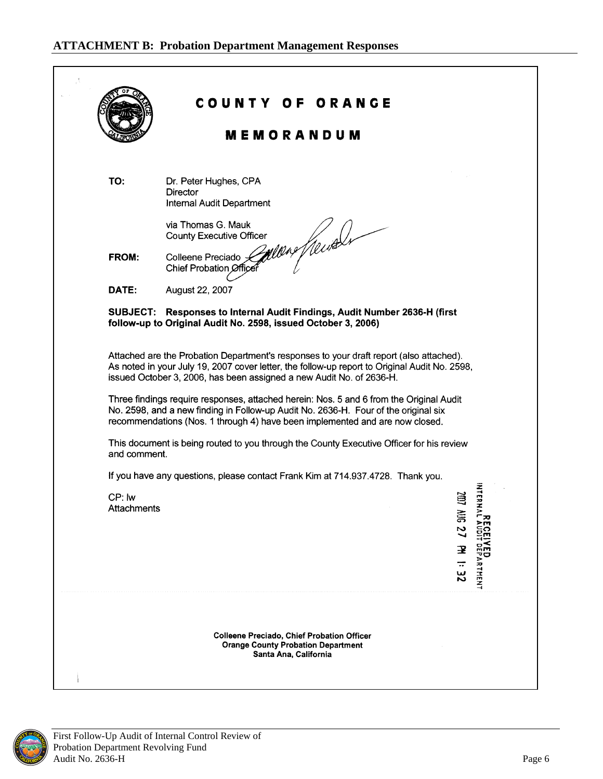### <span id="page-9-0"></span>**ATTACHMENT B: Probation Department Management Responses**

|              | <b>MEMORANDUM</b>                                                                                                                                                                                                                                                |                         |
|--------------|------------------------------------------------------------------------------------------------------------------------------------------------------------------------------------------------------------------------------------------------------------------|-------------------------|
| TO:          | Dr. Peter Hughes, CPA                                                                                                                                                                                                                                            |                         |
|              | Director<br>Internal Audit Department                                                                                                                                                                                                                            |                         |
|              | via Thomas G. Mauk<br><b>County Executive Officer</b>                                                                                                                                                                                                            |                         |
| FROM:        | mens freuder<br>Colleene Preciado ><br>Chief Probation Officer                                                                                                                                                                                                   |                         |
| DATE:        | August 22, 2007                                                                                                                                                                                                                                                  |                         |
|              | SUBJECT: Responses to Internal Audit Findings, Audit Number 2636-H (first<br>follow-up to Original Audit No. 2598, issued October 3, 2006)                                                                                                                       |                         |
|              | Attached are the Probation Department's responses to your draft report (also attached).<br>As noted in your July 19, 2007 cover letter, the follow-up report to Original Audit No. 2598,<br>issued October 3, 2006, has been assigned a new Audit No. of 2636-H. |                         |
|              |                                                                                                                                                                                                                                                                  |                         |
|              | Three findings require responses, attached herein: Nos. 5 and 6 from the Original Audit<br>No. 2598, and a new finding in Follow-up Audit No. 2636-H. Four of the original six<br>recommendations (Nos. 1 through 4) have been implemented and are now closed.   |                         |
| and comment. | This document is being routed to you through the County Executive Officer for his review                                                                                                                                                                         |                         |
|              | If you have any questions, please contact Frank Kim at 714.937.4728. Thank you.                                                                                                                                                                                  |                         |
| CP: lw       |                                                                                                                                                                                                                                                                  | $\frac{1}{2}$<br>ã      |
| Attachments  |                                                                                                                                                                                                                                                                  | RHAL                    |
|              |                                                                                                                                                                                                                                                                  | N                       |
|              |                                                                                                                                                                                                                                                                  | 宝<br>$\overline{\cdot}$ |
|              |                                                                                                                                                                                                                                                                  | ARTHENT<br>$\mathbf{z}$ |